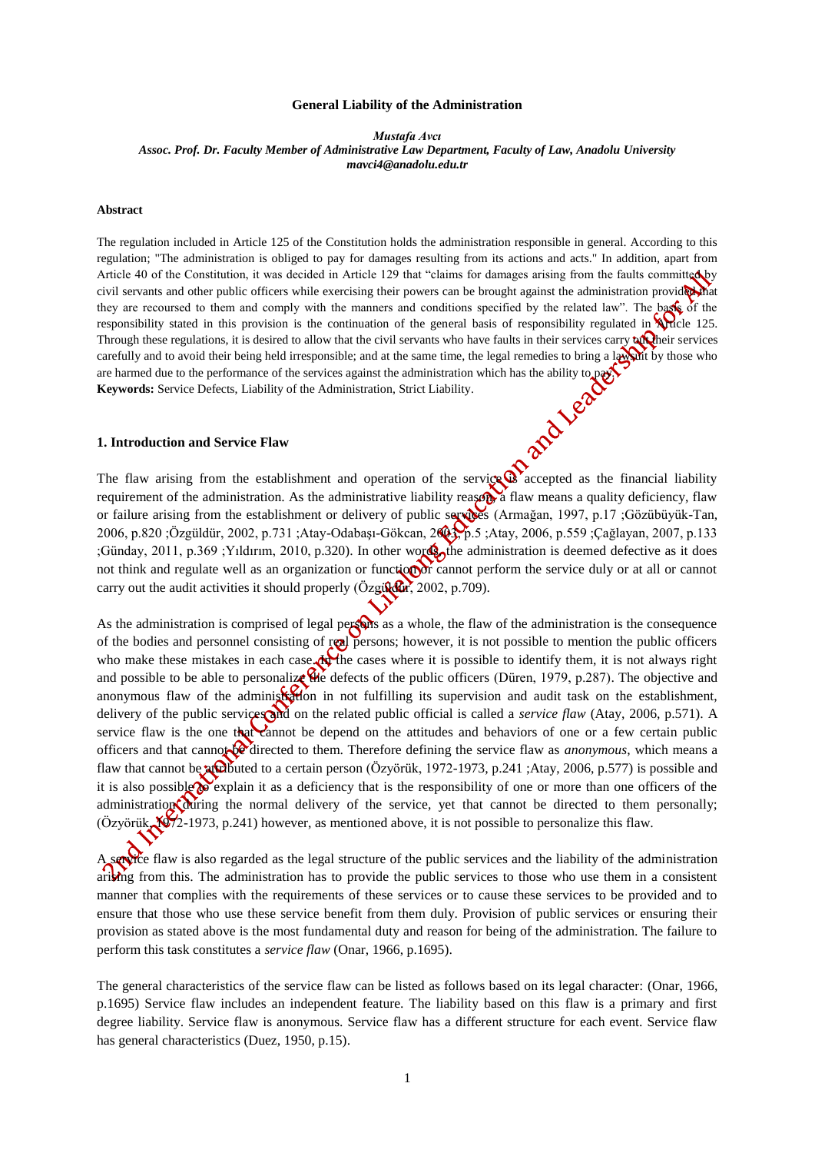#### **General Liability of the Administration**

*Mustafa Avcı Assoc. Prof. Dr. Faculty Member of Administrative Law Department, Faculty of Law, Anadolu University [mavci4@anadolu.edu.tr](mailto:mavci4@anadolu.edu.tr)*

#### **Abstract**

The regulation included in Article 125 of the Constitution holds the administration responsible in general. According to this regulation; "The administration is obliged to pay for damages resulting from its actions and acts." In addition, apart from Article 40 of the Constitution, it was decided in Article 129 that "claims for damages arising from the faults committed by civil servants and other public officers while exercising their powers can be brought against the administration provided that they are recoursed to them and comply with the manners and conditions specified by the related law". The base of the responsibility stated in this provision is the continuation of the general basis of responsibility regulated in Article 125. Through these regulations, it is desired to allow that the civil servants who have faults in their services carry  $\alpha$ carefully and to avoid their being held irresponsible; and at the same time, the legal remedies to bring a law the whose who are harmed due to the performance of the services against the administration which has the ability to pay.<br> **Keywords:** Service Defects, Liability of the Administration, Strict Liability.<br> **1.** Introduction and Service Fl **Keywords:** Service Defects, Liability of the Administration, Strict Liability.

## **1. Introduction and Service Flaw**

The flaw arising from the establishment and operation of the service  $\mathbb{Q}$  accepted as the financial liability requirement of the administration. As the administrative liability reason a flaw means a quality deficiency, flaw or failure arising from the establishment or delivery of public services (Armağan, 1997, p.17 ;Gözübüyük-Tan, 2006, p.820 ;Özgüldür, 2002, p.731 ;Atay-Odabaşı-Gökcan, 2003, p.5 ;Atay, 2006, p.559 ;Çağlayan, 2007, p.133 ;Günday, 2011, p.369 ;Yıldırım, 2010, p.320). In other words, the administration is deemed defective as it does not think and regulate well as an organization or function or cannot perform the service duly or at all or cannot carry out the audit activities it should properly (Özgüldür, 2002, p.709).

As the administration is comprised of legal persons as a whole, the flaw of the administration is the consequence of the bodies and personnel consisting of real persons; however, it is not possible to mention the public officers who make these mistakes in each case. When cases where it is possible to identify them, it is not always right and possible to be able to personalize the defects of the public officers (Düren, 1979, p.287). The objective and anonymous flaw of the administration in not fulfilling its supervision and audit task on the establishment, delivery of the public services and on the related public official is called a *service flaw* (Atay, 2006, p.571). A service flaw is the one that cannot be depend on the attitudes and behaviors of one or a few certain public officers and that cannot be directed to them. Therefore defining the service flaw as *anonymous*, which means a flaw that cannot be attained to a certain person (Özyörük, 1972-1973, p.241;Atay, 2006, p.577) is possible and it is also possible  $\alpha$  explain it as a deficiency that is the responsibility of one or more than one officers of the administration during the normal delivery of the service, yet that cannot be directed to them personally; (Özyörük, 1972-1973, p.241) however, as mentioned above, it is not possible to personalize this flaw.

A service flaw is also regarded as the legal structure of the public services and the liability of the administration arising from this. The administration has to provide the public services to those who use them in a consistent manner that complies with the requirements of these services or to cause these services to be provided and to ensure that those who use these service benefit from them duly. Provision of public services or ensuring their provision as stated above is the most fundamental duty and reason for being of the administration. The failure to perform this task constitutes a *service flaw* (Onar, 1966, p.1695).

The general characteristics of the service flaw can be listed as follows based on its legal character: (Onar, 1966, p.1695) Service flaw includes an independent feature. The liability based on this flaw is a primary and first degree liability. Service flaw is anonymous. Service flaw has a different structure for each event. Service flaw has general characteristics (Duez, 1950, p.15).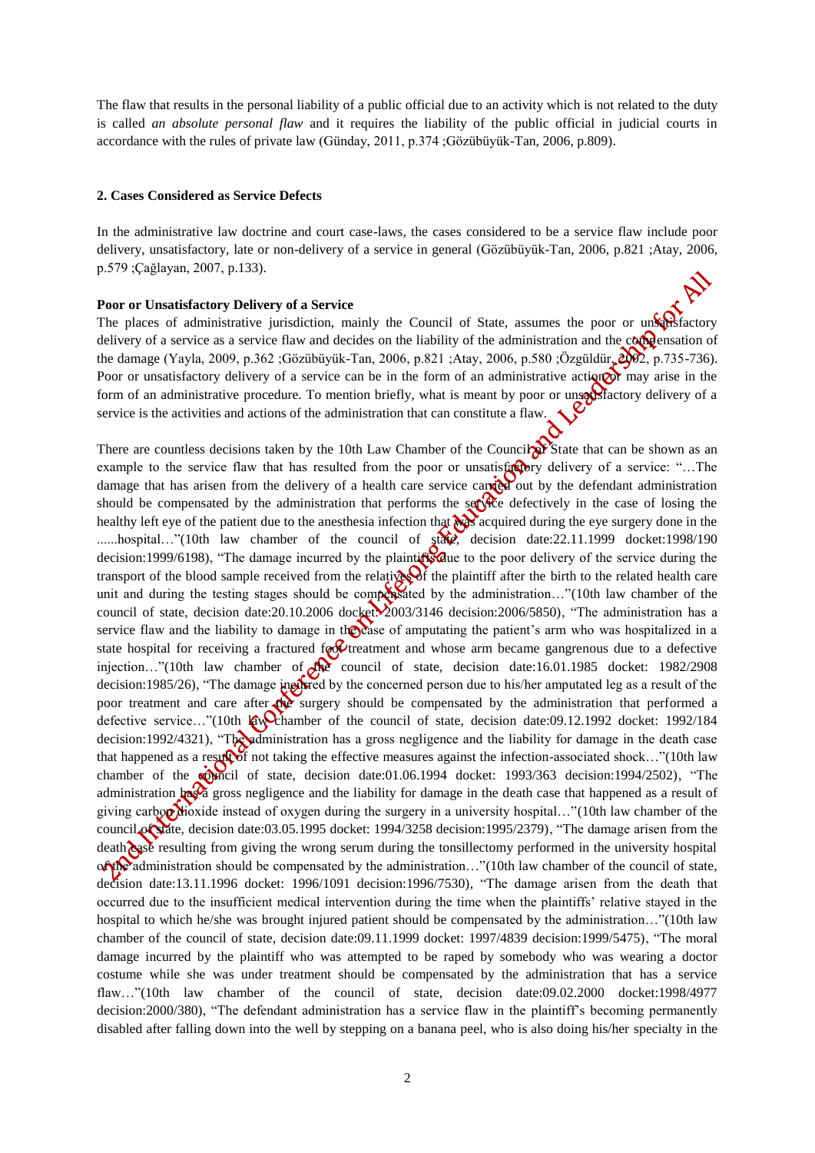The flaw that results in the personal liability of a public official due to an activity which is not related to the duty is called *an absolute personal flaw* and it requires the liability of the public official in judicial courts in accordance with the rules of private law (Günday, 2011, p.374 ;Gözübüyük-Tan, 2006, p.809).

#### **2. Cases Considered as Service Defects**

In the administrative law doctrine and court case-laws, the cases considered to be a service flaw include poor delivery, unsatisfactory, late or non-delivery of a service in general (Gözübüyük-Tan, 2006, p.821 ;Atay, 2006, p.579 ;Çağlayan, 2007, p.133).

#### **Poor or Unsatisfactory Delivery of a Service**

The places of administrative jurisdiction, mainly the Council of State, assumes the poor or unsersfactory delivery of a service as a service flaw and decides on the liability of the administration and the compensation of the damage (Yayla, 2009, p.362 ;Gözübüyük-Tan, 2006, p.821 ;Atay, 2006, p.580 ;Özgüldür, 2002, p.735-736). Poor or unsatisfactory delivery of a service can be in the form of an administrative action or may arise in the form of an administrative procedure. To mention briefly, what is meant by poor or unsatisfactory delivery of a service is the activities and actions of the administration that can constitute a flaw.

There are countless decisions taken by the 10th Law Chamber of the Council  $\sum Y$  State that can be shown as an example to the service flaw that has resulted from the poor or unsatisfactory delivery of a service: "...The damage that has arisen from the delivery of a health care service carried out by the defendant administration should be compensated by the administration that performs the set  $\frac{1}{2}$  defectively in the case of losing the healthy left eye of the patient due to the anesthesia infection that was acquired during the eye surgery done in the ......hospital..."(10th law chamber of the council of state, decision date:22.11.1999 docket:1998/190 decision:1999/6198), "The damage incurred by the plaintiff due to the poor delivery of the service during the transport of the blood sample received from the relatives of the plaintiff after the birth to the related health care unit and during the testing stages should be compensated by the administration..."(10th law chamber of the council of state, decision date:20.10.2006 docket: 2003/3146 decision: 2006/5850), "The administration has a service flaw and the liability to damage in the case of amputating the patient's arm who was hospitalized in a state hospital for receiving a fractured for treatment and whose arm became gangrenous due to a defective injection…"(10th law chamber of the council of state, decision date:16.01.1985 docket: 1982/2908 decision:1985/26), "The damage incurred by the concerned person due to his/her amputated leg as a result of the poor treatment and care after the surgery should be compensated by the administration that performed a defective service..."(10th law chamber of the council of state, decision date:09.12.1992 docket: 1992/184 decision:1992/4321), "The administration has a gross negligence and the liability for damage in the death case that happened as a result of not taking the effective measures against the infection-associated shock..."(10th law chamber of the council of state, decision date:01.06.1994 docket: 1993/363 decision:1994/2502), "The administration has a gross negligence and the liability for damage in the death case that happened as a result of giving carbor dioxide instead of oxygen during the surgery in a university hospital..."(10th law chamber of the council of state, decision date:03.05.1995 docket: 1994/3258 decision:1995/2379), "The damage arisen from the death case resulting from giving the wrong serum during the tonsillectomy performed in the university hospital of the administration should be compensated by the administration..."(10th law chamber of the council of state, decision date:13.11.1996 docket: 1996/1091 decision:1996/7530), "The damage arisen from the death that occurred due to the insufficient medical intervention during the time when the plaintiffs' relative stayed in the hospital to which he/she was brought injured patient should be compensated by the administration..."(10th law chamber of the council of state, decision date:09.11.1999 docket: 1997/4839 decision:1999/5475), "The moral damage incurred by the plaintiff who was attempted to be raped by somebody who was wearing a doctor costume while she was under treatment should be compensated by the administration that has a service flaw…"(10th law chamber of the council of state, decision date:09.02.2000 docket:1998/4977 decision:2000/380), "The defendant administration has a service flaw in the plaintiff's becoming permanently disabled after falling down into the well by stepping on a banana peel, who is also doing his/her specialty in the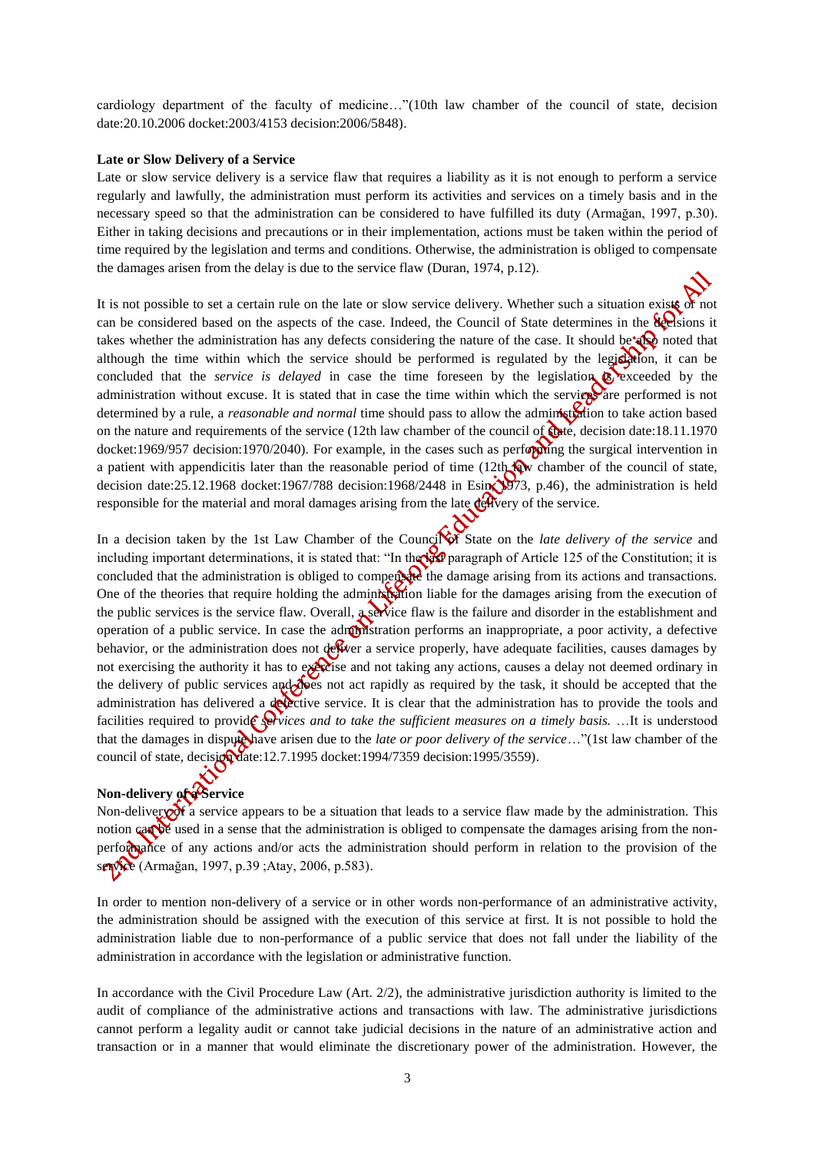cardiology department of the faculty of medicine…"(10th law chamber of the council of state, decision date:20.10.2006 docket:2003/4153 decision:2006/5848).

#### **Late or Slow Delivery of a Service**

Late or slow service delivery is a service flaw that requires a liability as it is not enough to perform a service regularly and lawfully, the administration must perform its activities and services on a timely basis and in the necessary speed so that the administration can be considered to have fulfilled its duty (Armağan, 1997, p.30). Either in taking decisions and precautions or in their implementation, actions must be taken within the period of time required by the legislation and terms and conditions. Otherwise, the administration is obliged to compensate the damages arisen from the delay is due to the service flaw (Duran, 1974, p.12).

It is not possible to set a certain rule on the late or slow service delivery. Whether such a situation exists or not can be considered based on the aspects of the case. Indeed, the Council of State determines in the **decisions** it takes whether the administration has any defects considering the nature of the case. It should be  $\mathbb{Q}$  noted that although the time within which the service should be performed is regulated by the legislation, it can be concluded that the *service is delayed* in case the time foreseen by the legislation  $\otimes$  exceeded by the administration without excuse. It is stated that in case the time within which the services are performed is not determined by a rule, a *reasonable and normal* time should pass to allow the administration to take action based on the nature and requirements of the service (12th law chamber of the council of  $\mathbf{\hat{C}}$  decision date:18.11.1970 docket:1969/957 decision:1970/2040). For example, in the cases such as performing the surgical intervention in a patient with appendicitis later than the reasonable period of time  $(12th)$  w chamber of the council of state, decision date:25.12.1968 docket:1967/788 decision:1968/2448 in Esin, 1973, p.46), the administration is held responsible for the material and moral damages arising from the late  $\det$ 

In a decision taken by the 1st Law Chamber of the Council of State on the *late delivery of the service* and including important determinations, it is stated that: "In the last paragraph of Article 125 of the Constitution; it is concluded that the administration is obliged to compensate the damage arising from its actions and transactions. One of the theories that require holding the administration liable for the damages arising from the execution of the public services is the service flaw. Overall, a service flaw is the failure and disorder in the establishment and operation of a public service. In case the administration performs an inappropriate, a poor activity, a defective behavior, or the administration does not dever a service properly, have adequate facilities, causes damages by not exercising the authority it has to exercise and not taking any actions, causes a delay not deemed ordinary in the delivery of public services and does not act rapidly as required by the task, it should be accepted that the administration has delivered a defective service. It is clear that the administration has to provide the tools and facilities required to provide *services and to take the sufficient measures on a timely basis.* ...It is understood that the damages in dispute have arisen due to the *late or poor delivery of the service*..."(1st law chamber of the council of state, decision date:12.7.1995 docket:1994/7359 decision:1995/3559).

# **Non-delivery of a Service**

Non-delivery of a service appears to be a situation that leads to a service flaw made by the administration. This notion can be used in a sense that the administration is obliged to compensate the damages arising from the nonperformance of any actions and/or acts the administration should perform in relation to the provision of the service (Armağan, 1997, p.39 ;Atay, 2006, p.583).

In order to mention non-delivery of a service or in other words non-performance of an administrative activity, the administration should be assigned with the execution of this service at first. It is not possible to hold the administration liable due to non-performance of a public service that does not fall under the liability of the administration in accordance with the legislation or administrative function.

In accordance with the Civil Procedure Law (Art.  $2/2$ ), the administrative jurisdiction authority is limited to the audit of compliance of the administrative actions and transactions with law. The administrative jurisdictions cannot perform a legality audit or cannot take judicial decisions in the nature of an administrative action and transaction or in a manner that would eliminate the discretionary power of the administration. However, the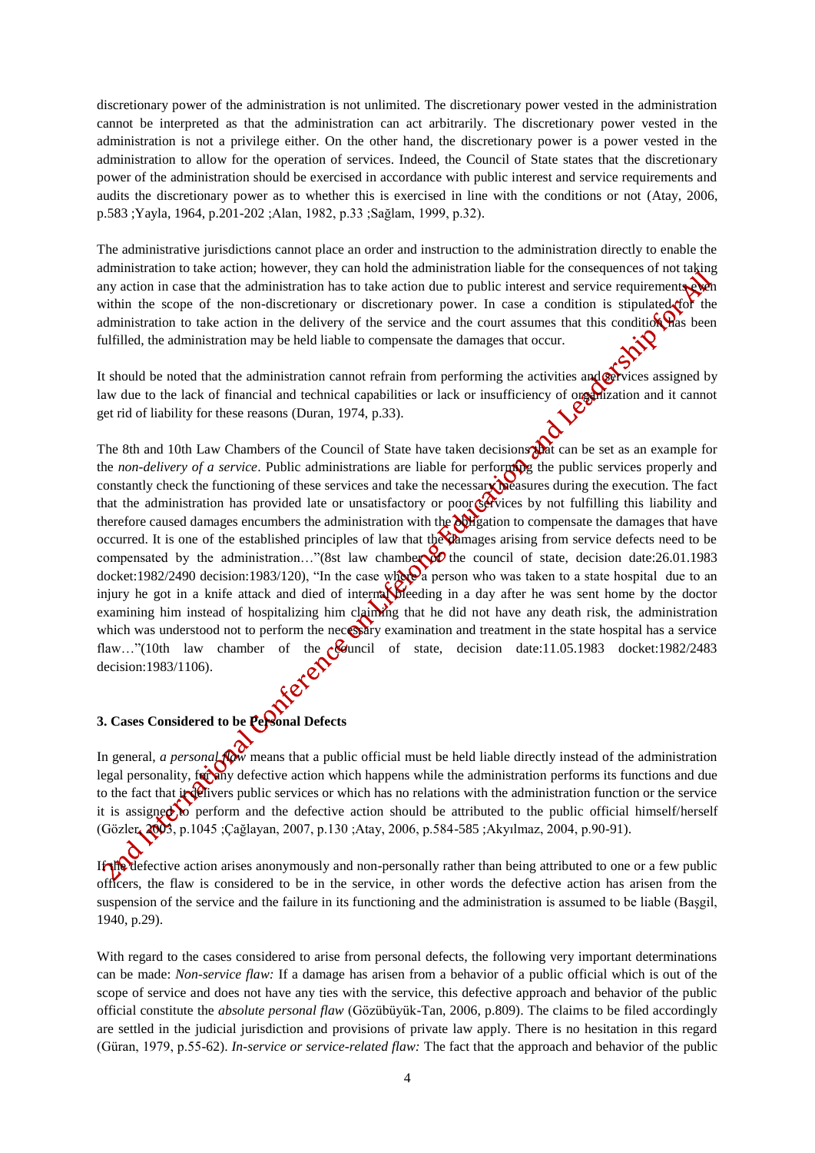discretionary power of the administration is not unlimited. The discretionary power vested in the administration cannot be interpreted as that the administration can act arbitrarily. The discretionary power vested in the administration is not a privilege either. On the other hand, the discretionary power is a power vested in the administration to allow for the operation of services. Indeed, the Council of State states that the discretionary power of the administration should be exercised in accordance with public interest and service requirements and audits the discretionary power as to whether this is exercised in line with the conditions or not (Atay, 2006, p.583 ;Yayla, 1964, p.201-202 ;Alan, 1982, p.33 ;Sağlam, 1999, p.32).

The administrative jurisdictions cannot place an order and instruction to the administration directly to enable the administration to take action; however, they can hold the administration liable for the consequences of not taking any action in case that the administration has to take action due to public interest and service requirements  $\mathbf{e}$ within the scope of the non-discretionary or discretionary power. In case a condition is stipulated for the administration to take action in the delivery of the service and the court assumes that this condition has been fulfilled, the administration may be held liable to compensate the damages that occur.

It should be noted that the administration cannot refrain from performing the activities and correct assigned by law due to the lack of financial and technical capabilities or lack or insufficiency of organization and it cannot get rid of liability for these reasons (Duran, 1974, p.33).

The 8th and 10th Law Chambers of the Council of State have taken decisions that can be set as an example for the *non-delivery of a service*. Public administrations are liable for performing the public services properly and constantly check the functioning of these services and take the necessary measures during the execution. The fact that the administration has provided late or unsatisfactory or poor  $\zeta$ . The services by not fulfilling this liability and therefore caused damages encumbers the administration with the *obligation* to compensate the damages that have occurred. It is one of the established principles of law that the chamages arising from service defects need to be compensated by the administration…"(8st law chamber of the council of state, decision date:26.01.1983 docket:1982/2490 decision:1983/120), "In the case where a person who was taken to a state hospital due to an injury he got in a knife attack and died of internal bleeding in a day after he was sent home by the doctor examining him instead of hospitalizing him claiming that he did not have any death risk, the administration which was understood not to perform the necessary examination and treatment in the state hospital has a service flaw…"(10th law chamber of the *council* of state, decision date:11.05.1983 docket:1982/2483 decision:1983/1106).

## **3. Cases Considered to be Personal Defects**

In general, *a personal follow* means that a public official must be held liable directly instead of the administration legal personality, for any defective action which happens while the administration performs its functions and due to the fact that in delivers public services or which has no relations with the administration function or the service it is assigned to perform and the defective action should be attributed to the public official himself/herself (Gözler, 2003, p.1045 ;Çağlayan, 2007, p.130 ;Atay, 2006, p.584-585 ;Akyılmaz, 2004, p.90-91).

If the defective action arises anonymously and non-personally rather than being attributed to one or a few public officers, the flaw is considered to be in the service, in other words the defective action has arisen from the suspension of the service and the failure in its functioning and the administration is assumed to be liable (Başgil, 1940, p.29).

With regard to the cases considered to arise from personal defects, the following very important determinations can be made: *Non-service flaw:* If a damage has arisen from a behavior of a public official which is out of the scope of service and does not have any ties with the service, this defective approach and behavior of the public official constitute the *absolute personal flaw* (Gözübüyük-Tan, 2006, p.809). The claims to be filed accordingly are settled in the judicial jurisdiction and provisions of private law apply. There is no hesitation in this regard (Güran, 1979, p.55-62). *In-service or service-related flaw:* The fact that the approach and behavior of the public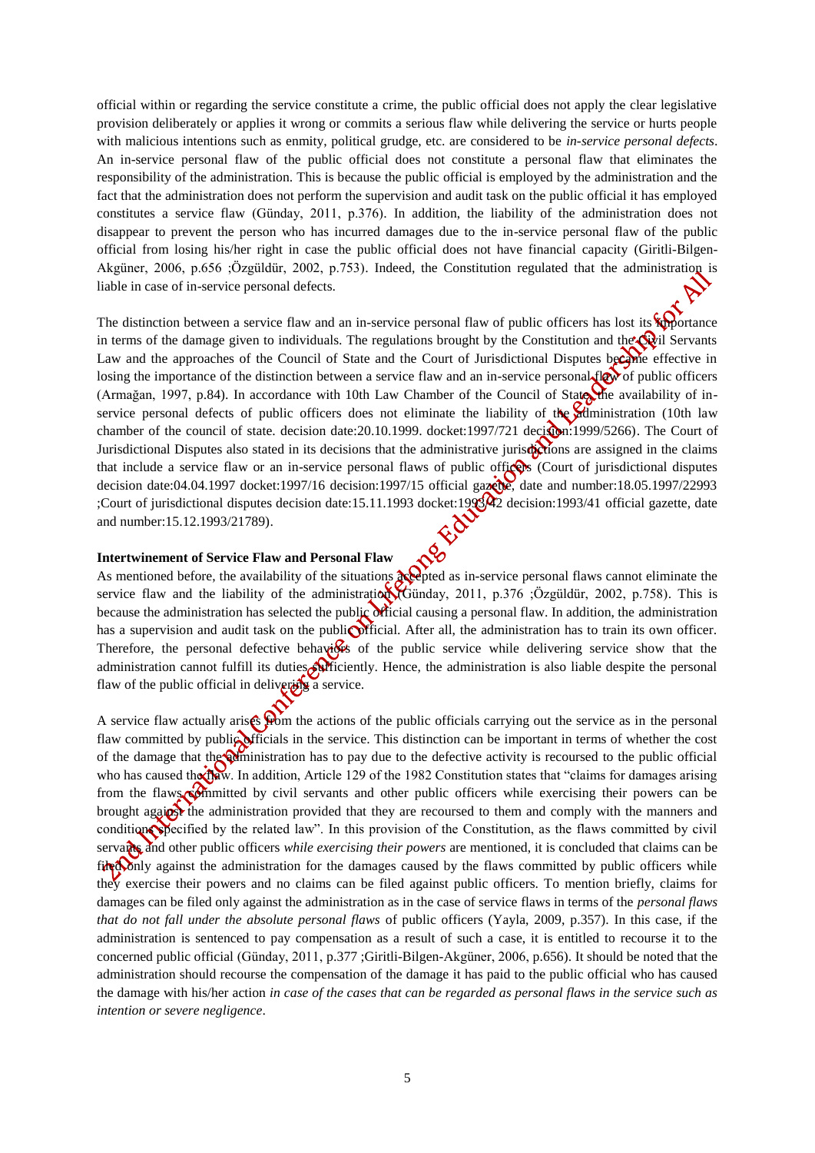official within or regarding the service constitute a crime, the public official does not apply the clear legislative provision deliberately or applies it wrong or commits a serious flaw while delivering the service or hurts people with malicious intentions such as enmity, political grudge, etc. are considered to be *in-service personal defects*. An in-service personal flaw of the public official does not constitute a personal flaw that eliminates the responsibility of the administration. This is because the public official is employed by the administration and the fact that the administration does not perform the supervision and audit task on the public official it has employed constitutes a service flaw (Günday, 2011, p.376). In addition, the liability of the administration does not disappear to prevent the person who has incurred damages due to the in-service personal flaw of the public official from losing his/her right in case the public official does not have financial capacity (Giritli-Bilgen-Akgüner, 2006, p.656 ;Özgüldür, 2002, p.753). Indeed, the Constitution regulated that the administration is liable in case of in-service personal defects.

The distinction between a service flaw and an in-service personal flaw of public officers has lost its  $\sum_{n=1}^{\infty}$ in terms of the damage given to individuals. The regulations brought by the Constitution and the  $\mathbb{Q}$ il Servants Law and the approaches of the Council of State and the Court of Jurisdictional Disputes became effective in losing the importance of the distinction between a service flaw and an in-service personal  $f(x)$  of public officers (Armağan, 1997, p.84). In accordance with 10th Law Chamber of the Council of State, the availability of inservice personal defects of public officers does not eliminate the liability of the administration (10th law chamber of the council of state. decision date:20.10.1999. docket:1997/721 decision:1999/5266). The Court of Jurisdictional Disputes also stated in its decisions that the administrative jurisdictions are assigned in the claims that include a service flaw or an in-service personal flaws of public officers (Court of jurisdictional disputes decision date:04.04.1997 docket:1997/16 decision:1997/15 official gazette, date and number:18.05.1997/22993 ;Court of jurisdictional disputes decision date:15.11.1993 docket:1993/42 decision:1993/41 official gazette, date and number:15.12.1993/21789).

#### **Intertwinement of Service Flaw and Personal Flaw**

As mentioned before, the availability of the situations  $\partial x$  expected as in-service personal flaws cannot eliminate the service flaw and the liability of the administration (Günday, 2011, p.376 ;Özgüldür, 2002, p.758). This is because the administration has selected the public official causing a personal flaw. In addition, the administration has a supervision and audit task on the public official. After all, the administration has to train its own officer. Therefore, the personal defective behaviors of the public service while delivering service show that the administration cannot fulfill its duties sufficiently. Hence, the administration is also liable despite the personal flaw of the public official in delivering a service.

A service flaw actually arises from the actions of the public officials carrying out the service as in the personal flaw committed by public officials in the service. This distinction can be important in terms of whether the cost of the damage that the administration has to pay due to the defective activity is recoursed to the public official who has caused the *flaw*. In addition, Article 129 of the 1982 Constitution states that "claims for damages arising from the flaws committed by civil servants and other public officers while exercising their powers can be brought against the administration provided that they are recoursed to them and comply with the manners and conditions specified by the related law". In this provision of the Constitution, as the flaws committed by civil servants and other public officers *while exercising their powers* are mentioned, it is concluded that claims can be filed only against the administration for the damages caused by the flaws committed by public officers while they exercise their powers and no claims can be filed against public officers. To mention briefly, claims for damages can be filed only against the administration as in the case of service flaws in terms of the *personal flaws that do not fall under the absolute personal flaws* of public officers (Yayla, 2009, p.357). In this case, if the administration is sentenced to pay compensation as a result of such a case, it is entitled to recourse it to the concerned public official (Günday, 2011, p.377 ;Giritli-Bilgen-Akgüner, 2006, p.656). It should be noted that the administration should recourse the compensation of the damage it has paid to the public official who has caused the damage with his/her action *in case of the cases that can be regarded as personal flaws in the service such as intention or severe negligence*.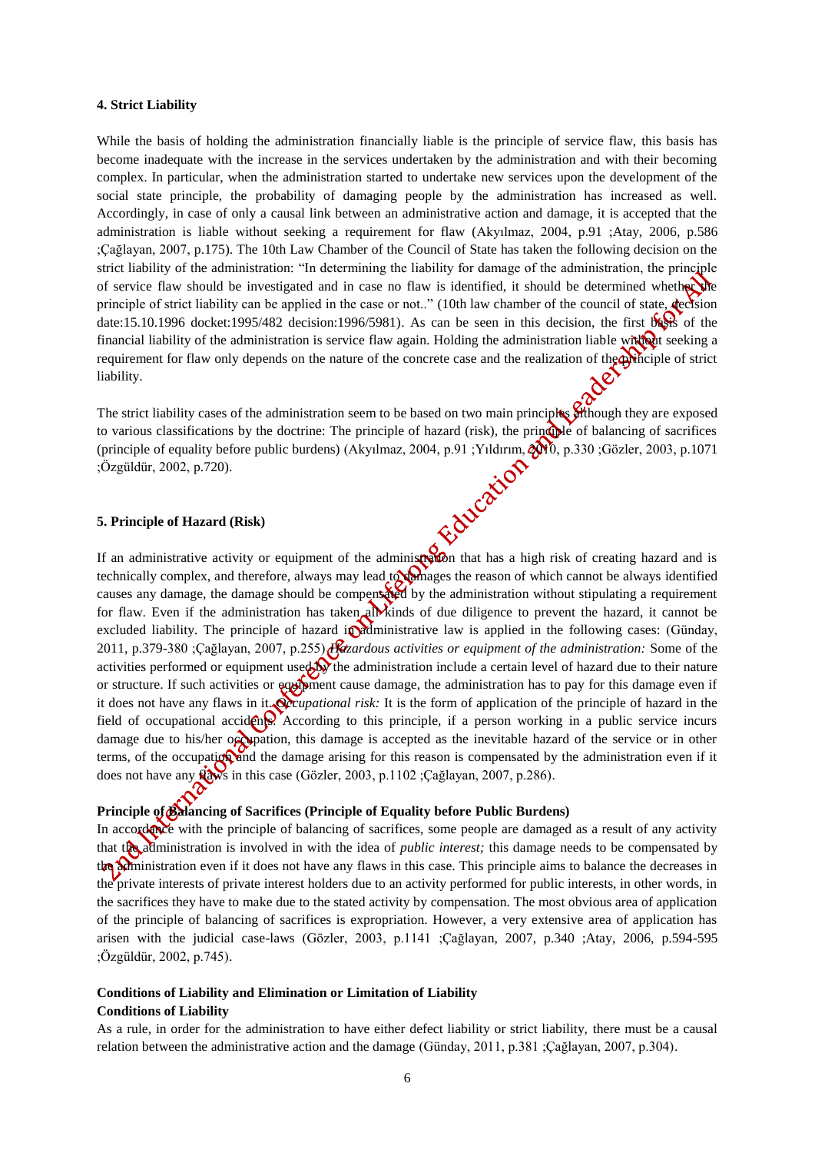#### **4. Strict Liability**

While the basis of holding the administration financially liable is the principle of service flaw, this basis has become inadequate with the increase in the services undertaken by the administration and with their becoming complex. In particular, when the administration started to undertake new services upon the development of the social state principle, the probability of damaging people by the administration has increased as well. Accordingly, in case of only a causal link between an administrative action and damage, it is accepted that the administration is liable without seeking a requirement for flaw (Akyılmaz, 2004, p.91 ;Atay, 2006, p.586 ;Çağlayan, 2007, p.175). The 10th Law Chamber of the Council of State has taken the following decision on the strict liability of the administration: "In determining the liability for damage of the administration, the principle of service flaw should be investigated and in case no flaw is identified, it should be determined whether the principle of strict liability can be applied in the case or not.." (10th law chamber of the council of state, decision date:15.10.1996 docket:1995/482 decision:1996/5981). As can be seen in this decision, the first  $\frac{1}{28}$  of the financial liability of the administration is service flaw again. Holding the administration liable with  $\mathbf{Q}$  seeking a requirement for flaw only depends on the nature of the concrete case and the realization of the principle of strict liability.

The strict liability cases of the administration seem to be based on two main principles  $\overrightarrow{g}$ though they are exposed to various classifications by the doctrine: The principle of hazard (risk), the principle of balancing of sacrifices (principle of equality before public burdens) (Akyılmaz, 2004, p.91 ;Yıldırım, 2010, p.330 ;Gözler, 2003, p.1071<br>
;Özgüldür, 2002, p.720).<br>
5. Principle of Hazard (Risk) ;Özgüldür, 2002, p.720).

## **5. Principle of Hazard (Risk)**

If an administrative activity or equipment of the administration that has a high risk of creating hazard and is technically complex, and therefore, always may lead to always the reason of which cannot be always identified causes any damage, the damage should be compensated by the administration without stipulating a requirement for flaw. Even if the administration has taken all kinds of due diligence to prevent the hazard, it cannot be excluded liability. The principle of hazard in administrative law is applied in the following cases: (Günday, 2011, p.379-380 ;Çağlayan, 2007, p.255) *Hazardous activities or equipment of the administration:* Some of the activities performed or equipment used  $\mathbf{S}$  the administration include a certain level of hazard due to their nature or structure. If such activities or equipment cause damage, the administration has to pay for this damage even if it does not have any flaws in it. *Occupational risk:* It is the form of application of the principle of hazard in the field of occupational accidents. According to this principle, if a person working in a public service incurs damage due to his/her occupation, this damage is accepted as the inevitable hazard of the service or in other terms, of the occupation and the damage arising for this reason is compensated by the administration even if it does not have any **flaws** in this case (Gözler, 2003, p.1102 ; Çağlayan, 2007, p.286).

## **Principle of Balancing of Sacrifices (Principle of Equality before Public Burdens)**

In accordance with the principle of balancing of sacrifices, some people are damaged as a result of any activity that the administration is involved in with the idea of *public interest;* this damage needs to be compensated by the administration even if it does not have any flaws in this case. This principle aims to balance the decreases in the private interests of private interest holders due to an activity performed for public interests, in other words, in the sacrifices they have to make due to the stated activity by compensation. The most obvious area of application of the principle of balancing of sacrifices is expropriation. However, a very extensive area of application has arisen with the judicial case-laws (Gözler, 2003, p.1141 ;Çağlayan, 2007, p.340 ;Atay, 2006, p.594-595 ;Özgüldür, 2002, p.745).

## **Conditions of Liability and Elimination or Limitation of Liability Conditions of Liability**

As a rule, in order for the administration to have either defect liability or strict liability, there must be a causal relation between the administrative action and the damage (Günday, 2011, p.381 ;Çağlayan, 2007, p.304).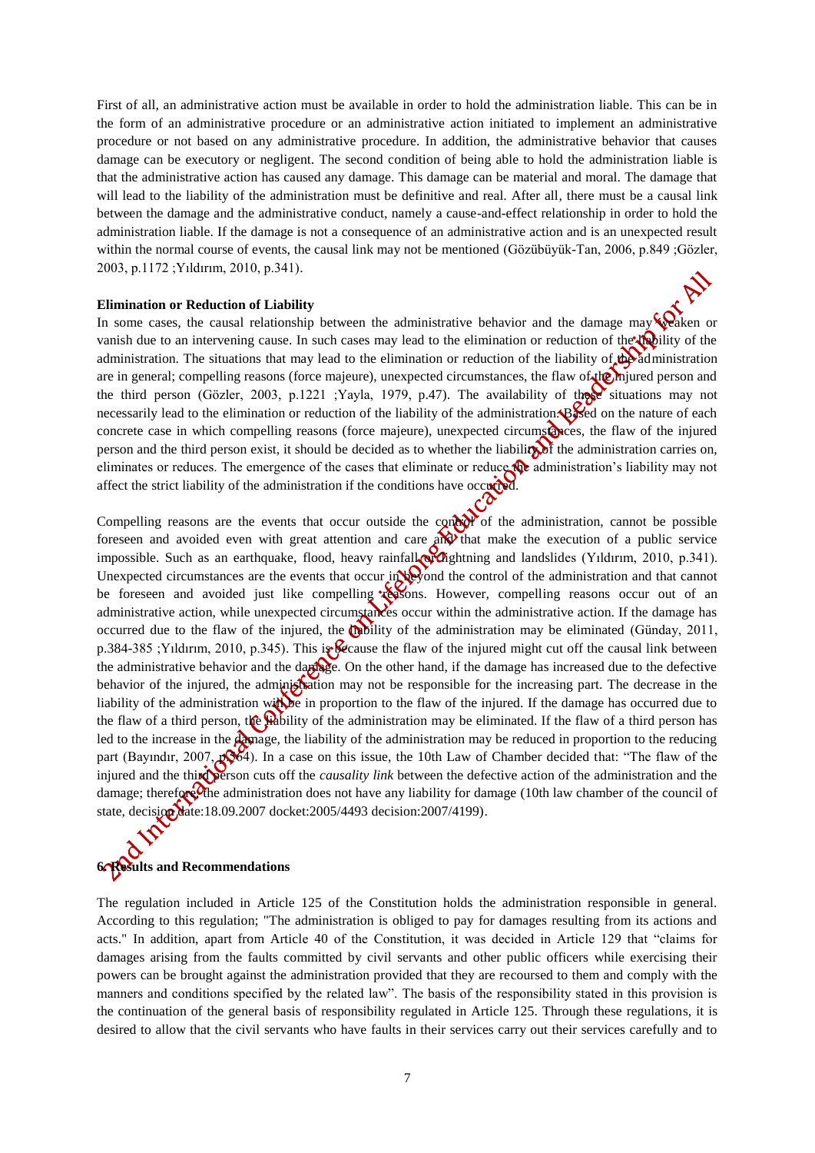First of all, an administrative action must be available in order to hold the administration liable. This can be in the form of an administrative procedure or an administrative action initiated to implement an administrative procedure or not based on any administrative procedure. In addition, the administrative behavior that causes damage can be executory or negligent. The second condition of being able to hold the administration liable is that the administrative action has caused any damage. This damage can be material and moral. The damage that will lead to the liability of the administration must be definitive and real. After all, there must be a causal link between the damage and the administrative conduct, namely a cause-and-effect relationship in order to hold the administration liable. If the damage is not a consequence of an administrative action and is an unexpected result within the normal course of events, the causal link may not be mentioned (Gözübüyük-Tan, 2006, p.849 ;Gözler, 2003, p.1172 ;Yıldırım, 2010, p.341).

#### **Elimination or Reduction of Liability**

In some cases, the causal relationship between the administrative behavior and the damage may  $\mathcal{R}$  ken or vanish due to an intervening cause. In such cases may lead to the elimination or reduction of the lightly of the administration. The situations that may lead to the elimination or reduction of the liability of the administration are in general; compelling reasons (force majeure), unexpected circumstances, the flaw of the miured person and the third person (Gözler, 2003, p.1221 ;Yayla, 1979, p.47). The availability of these situations may not necessarily lead to the elimination or reduction of the liability of the administration. Based on the nature of each concrete case in which compelling reasons (force majeure), unexpected circumstances, the flaw of the injured person and the third person exist, it should be decided as to whether the liability of the administration carries on, eliminates or reduces. The emergence of the cases that eliminate or reduce the administration's liability may not affect the strict liability of the administration if the conditions have occurred.

Compelling reasons are the events that occur outside the control of the administration, cannot be possible foreseen and avoided even with great attention and care  $\partial \mathbf{N}$  that make the execution of a public service impossible. Such as an earthquake, flood, heavy rainfall or algebraic and landslides (Yıldırım, 2010, p.341). Unexpected circumstances are the events that occur in beyond the control of the administration and that cannot be foreseen and avoided just like compelling reasons. However, compelling reasons occur out of an administrative action, while unexpected circumstances occur within the administrative action. If the damage has occurred due to the flaw of the injured, the **m**bility of the administration may be eliminated (Günday, 2011, p.384-385 ; Yıldırım, 2010, p.345). This is because the flaw of the injured might cut off the causal link between the administrative behavior and the damage. On the other hand, if the damage has increased due to the defective behavior of the injured, the administration may not be responsible for the increasing part. The decrease in the liability of the administration with be in proportion to the flaw of the injured. If the damage has occurred due to the flaw of a third person, the whility of the administration may be eliminated. If the flaw of a third person has led to the increase in the **damage**, the liability of the administration may be reduced in proportion to the reducing part (Bayındır, 2007,  $\sqrt{864}$ ). In a case on this issue, the 10th Law of Chamber decided that: "The flaw of the injured and the third person cuts off the *causality link* between the defective action of the administration and the damage; therefore, the administration does not have any liability for damage (10th law chamber of the council of state, decision date:18.09.2007 docket:2005/4493 decision:2007/4199).

# **6. Results and Recommendations**

The regulation included in Article 125 of the Constitution holds the administration responsible in general. According to this regulation; "The administration is obliged to pay for damages resulting from its actions and acts." In addition, apart from Article 40 of the Constitution, it was decided in Article 129 that "claims for damages arising from the faults committed by civil servants and other public officers while exercising their powers can be brought against the administration provided that they are recoursed to them and comply with the manners and conditions specified by the related law". The basis of the responsibility stated in this provision is the continuation of the general basis of responsibility regulated in Article 125. Through these regulations, it is desired to allow that the civil servants who have faults in their services carry out their services carefully and to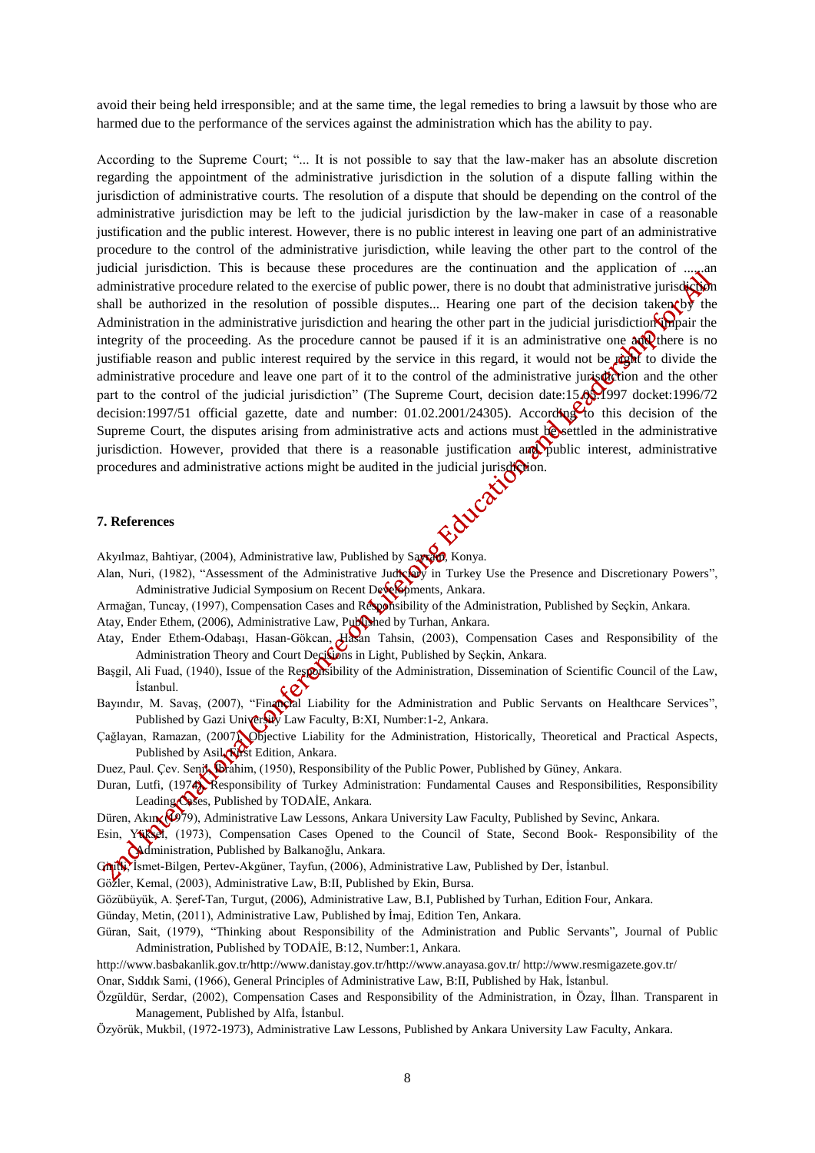avoid their being held irresponsible; and at the same time, the legal remedies to bring a lawsuit by those who are harmed due to the performance of the services against the administration which has the ability to pay.

According to the Supreme Court; "... It is not possible to say that the law-maker has an absolute discretion regarding the appointment of the administrative jurisdiction in the solution of a dispute falling within the jurisdiction of administrative courts. The resolution of a dispute that should be depending on the control of the administrative jurisdiction may be left to the judicial jurisdiction by the law-maker in case of a reasonable justification and the public interest. However, there is no public interest in leaving one part of an administrative procedure to the control of the administrative jurisdiction, while leaving the other part to the control of the judicial jurisdiction. This is because these procedures are the continuation and the application of  $\ldots$ . administrative procedure related to the exercise of public power, there is no doubt that administrative jurisdiction shall be authorized in the resolution of possible disputes... Hearing one part of the decision taken by the Administration in the administrative jurisdiction and hearing the other part in the judicial jurisdiction  $\mathbf{\hat{S}}$ integrity of the proceeding. As the procedure cannot be paused if it is an administrative one  $\frac{\partial Q}{\partial x}$  there is no justifiable reason and public interest required by the service in this regard, it would not be right to divide the administrative procedure and leave one part of it to the control of the administrative jurisdiction and the other part to the control of the judicial jurisdiction" (The Supreme Court, decision date:15.05.1997 docket:1996/72 decision:1997/51 official gazette, date and number: 01.02.2001/24305). According to this decision of the Supreme Court, the disputes arising from administrative acts and actions must be settled in the administrative jurisdiction. However, provided that there is a reasonable justification and public interest, administrative procedures and administrative actions might be audited in the judicial jurisdiction.<br>
7. References

#### **7. References**

Akyılmaz, Bahtiyar, (2004), Administrative law, Published by Sayram, Konya.

- Alan, Nuri, (1982), "Assessment of the Administrative Judiciary in Turkey Use the Presence and Discretionary Powers", Administrative Judicial Symposium on Recent Developments, Ankara.
- Armağan, Tuncay, (1997), Compensation Cases and Responsibility of the Administration, Published by Seçkin, Ankara.

Atay, Ender Ethem, (2006), Administrative Law, Published by Turhan, Ankara.

- Atay, Ender Ethem-Odabaşı, Hasan-Gökcan, Hasan Tahsin, (2003), Compensation Cases and Responsibility of the Administration Theory and Court Decisions in Light, Published by Seçkin, Ankara.
- Başgil, Ali Fuad, (1940), Issue of the Responsibility of the Administration, Dissemination of Scientific Council of the Law, İstanbul. ¢Ø
- Bayındır, M. Savaş, (2007), "Financial Liability for the Administration and Public Servants on Healthcare Services", Published by Gazi University Law Faculty, B:XI, Number:1-2, Ankara.
- Çağlayan, Ramazan, (2007), Objective Liability for the Administration, Historically, Theoretical and Practical Aspects, Published by Asil, First Edition, Ankara.
- Duez, Paul. Çev. Senil, *İbrahim, (1950), Responsibility of the Public Power, Published by Güney, Ankara.*
- Duran, Lutfi, (1974), Responsibility of Turkey Administration: Fundamental Causes and Responsibilities, Responsibility Leading Cases, Published by TODAİE, Ankara.
- Düren, Akın, (2079), Administrative Law Lessons, Ankara University Law Faculty, Published by Sevinc, Ankara.
- Esin, Yüksel, (1973), Compensation Cases Opened to the Council of State, Second Book- Responsibility of the Administration, Published by Balkanoğlu, Ankara.
- Ghith, Ismet-Bilgen, Pertev-Akgüner, Tayfun, (2006), Administrative Law, Published by Der, İstanbul.
- Gözler, Kemal, (2003), Administrative Law, B:II, Published by Ekin, Bursa.
- Gözübüyük, A. Şeref-Tan, Turgut, (2006), Administrative Law, B.I, Published by Turhan, Edition Four, Ankara.
- Günday, Metin, (2011), Administrative Law, Published by İmaj, Edition Ten, Ankara.
- Güran, Sait, (1979), "Thinking about Responsibility of the Administration and Public Servants", Journal of Public Administration, Published by TODAİE, B:12, Number:1, Ankara.
- [http://www.basbakanlik.gov.tr/http://www.danistay.gov.tr](http://www.basbakanlik.gov.tr/)[/http://www.anayasa.gov.tr/](http://www.anayasa.gov.tr/) <http://www.resmigazete.gov.tr/>
- Onar, Sıddık Sami, (1966), General Principles of Administrative Law, B:II, Published by Hak, İstanbul.
- Özgüldür, Serdar, (2002), Compensation Cases and Responsibility of the Administration, in Özay, İlhan. Transparent in Management, Published by Alfa, İstanbul.
- Özyörük, Mukbil, (1972-1973), Administrative Law Lessons, Published by Ankara University Law Faculty, Ankara.